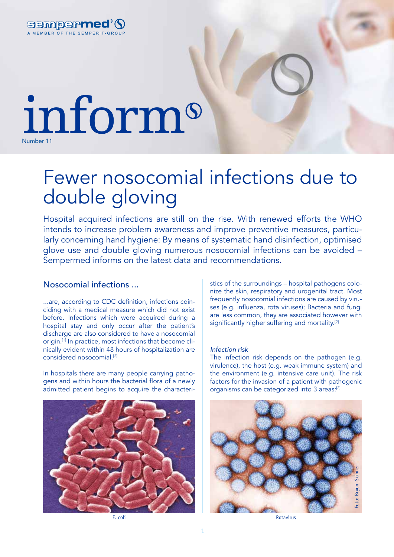

# inform Number 11

# Fewer nosocomial infections due to double gloving

Hospital acquired infections are still on the rise. With renewed efforts the WHO intends to increase problem awareness and improve preventive measures, particularly concerning hand hygiene: By means of systematic hand disinfection, optimised glove use and double gloving numerous nosocomial infections can be avoided – Sempermed informs on the latest data and recommendations.

## Nosocomial infections ...

...are, according to CDC definition, infections coinciding with a medical measure which did not exist before. Infections which were acquired during a hospital stay and only occur after the patient's discharge are also considered to have a nosocomial origin.[1] In practice, most infections that become clinically evident within 48 hours of hospitalization are considered nosocomial.[2]

In hospitals there are many people carrying pathogens and within hours the bacterial flora of a newly admitted patient begins to acquire the characteri-



stics of the surroundings – hospital pathogens colonize the skin, respiratory and urogenital tract. Most frequently nosocomial infections are caused by viruses (e.g. influenza, rota viruses); Bacteria and fungi are less common, they are associated however with significantly higher suffering and mortality.<sup>[2]</sup>

#### *Infection risk*

The infection risk depends on the pathogen (e.g. virulence), the host (e.g. weak immune system) and the environment (e.g. intensive care unit). The risk factors for the invasion of a patient with pathogenic organisms can be categorized into 3 areas:<sup>[2]</sup>



E. coli Rotavirus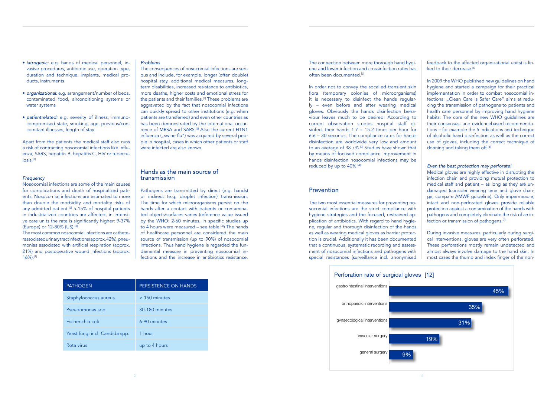The two most essential measures for preventing nosocomial infections are the strict compliance with hygiene strategies and the focused, restrained application of antibiotics. With regard to hand hygiene, regular and thorough disinfection of the hands as well as wearing medical gloves as barrier protection is crucial. Additionally it has been documented that a continuous, systematic recording and assessment of nosocomial infections and pathogens with special resistances (surveillance incl. anonymised

Medical gloves are highly effective in disrupting the infection chain and providing mutual protection to medical staff and patient – as long as they are undamaged (consider wearing time and glove chandamaged (consider wealing and and give enam-<br>ge, compare AMWF guideline). Only impermeable, intact and non-perforated gloves provide reliable protection against a contamination of the hands with .<br>pathogens and completely eliminate the risk of an infection or transmission of pathogens.<sup>[7]</sup>

During invasive measures, particularly during surgical interventions, gloves are very often perforated. These perforations mostly remain undetected and almost always involve damage to the hand skin. In most cases the thumb and index finger of the non-

Apart from the patients the medical staff also runs a risk of contracting nosocomial infections like influenza, SARS, hepatitis B, hepatitis C, HIV or tubercu- $\textsf{loss}$ <sup>[3]</sup>

- • *iatrogenic:* e.g. hands of medical personnel, invasive procedures, antibiotic use, operation type, duration and technique, implants, medical products, instruments
- *organizational:* e.g. arrangement/number of beds, contaminated food, airconditioning systems or water systems
- *patientrelated:* e.g. severity of illness, immunocompromised state, smoking, age, previous/concomitant illnesses, length of stay.

#### *Frequency*

Nosocomial infections are some of the main causes for complications and death of hospitalized patients. Nosocomial infections are estimated to more than double the morbidity and mortality risks of any admitted patient.<sup>[2]</sup> 5-15% of hospital patients in industrialized countries are affected, in intensive care units the rate is significantly higher: 9-37% (Europe) or 12-80% (US).[3]

The most common nosocomial infections are catheterassociated urinary tract infections (approx. 42%), pneumonias associated with artificial respiration (approx. 21%) and postoperative wound infections (approx. 16%).[4]

#### *Problems*

The consequences of nosocomial infections are serious and include, for example, longer (often double) hospital stay, additional medical measures, longterm disabilities, increased resistance to antibiotics, more deaths, higher costs and emotional stress for the patients and their families.<sup>[3]</sup> These problems are aggravated by the fact that nosocomial infections can quickly spread to other institutions (e.g. when patients are transferred) and even other countries as has been demonstrated by the international occurrence of MRSA and SARS.<sup>[5]</sup> Also the current H1N1 influenza ("swine flu") was acquired by several people in hospital, cases in which other patients or staff were infected are also known.

## Hands as the main source of transmission

Pathogens are transmitted by direct (e.g. hands) or indirect (e.g. droplet infection) transmission. The time for which microorganisms persist on the hands after a contact with patients or contaminated objects/surfaces varies (reference value issued by the WHO: 2-60 minutes, in specific studies up to 4 hours were measured – see table.<sup>[4]</sup>) The hands of healthcare personnel are considered the main source of transmission (up to 90%) of nosocomial infections. Thus hand hygiene is regarded the fundamental measure in preventing nosocomial infections and the increase in antibiotics resistance.

| <b>PATHOGEN</b>                | PERSISTENCE ON HANDS |
|--------------------------------|----------------------|
| Staphylococcus aureus          | $\geq$ 150 minutes   |
| Pseudomonas spp.               | 30-180 minutes       |
| Escherichia coli               | 6-90 minutes         |
| Yeast fungi incl. Candida spp. | 1 hour               |
| Rota virus                     | up to 4 hours        |

The connection between more thorough hand hygiene and lower infection and crossinfection rates has often been documented.<sup>[3]</sup>

In order not to convey the socalled transient skin flora (temporary colonies of microorganisms) it is necessary to disinfect the hands regularly – even before and after wearing medical iy – even before and after wearing medical<br>gloves. Obviously the hands disinfection behaviour leaves much to be desired: According to current observation studies hospital staff disinfect their hands  $1.7 - 15.2$  times per hour for  $6.6 - 30$  seconds. The compliance rates for hands disinfection are worldwide very low and amount to an average of 38.7%.<sup>[3]</sup> Studies have shown that by means of focused compliance improvement in hands disinfection nosocomial infections may be reduced by up to 40%. $^{[4]}$ 

## Prevention<br>  $\frac{1}{\sqrt{2}}$



feedback to the affected organizational units) is lin $k$ ed to their decrease.<sup>[6]</sup>  $\blacksquare$ 

In 2009 the WHO published new guidelines on hand hygiene and started a campaign for their practical implementation in order to combat nosocomial infections. "Clean Care is Safer Care" aims at reducing the transmission of pathogens to patients and health care personnel by improving hand hygiene *Even the best protection may perforate!* media care percentle by impressing tending gloves their consensus- and evidencebased recommendations – for example the 5 indications and technique of alcoholic hand disinfection as well as the correct use of gloves, including the correct technique of donning and taking them off.<sup>[3]</sup> and taking them off.<sup>[3]</sup>

### Even the best protection may perforate!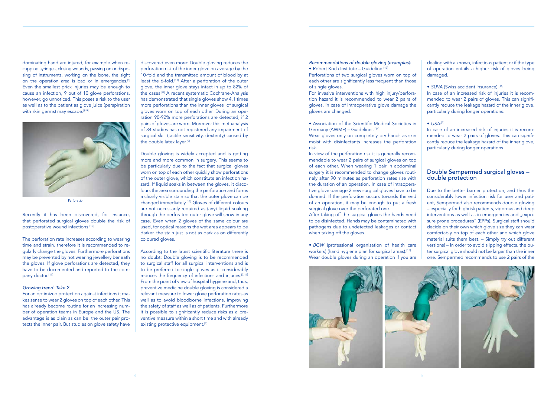#### *Recommendations of double gloving (examples):*

• Robert Koch Institute – Guideline:[13]

Perforations of two surgical gloves worn on top of each other are significantly less frequent than those of single gloves.

• Association of the Scientific Medical Societies in Germany (AWMF) - Guidelines:[14]

Wear gloves only on completely dry hands as skin moist with disinfectants increases the perforation risk.

For invasive interventions with high injury/perforation hazard it is recommended to wear 2 pairs of gloves. In case of intraoperative glove damage the gloves are changed.

In view of the perforation risk it is generally recommendable to wear 2 pairs of surgical gloves on top of each other. When wearing 1 pair in abdominal surgery it is recommended to change gloves routinely after 90 minutes as perforation rates rise with the duration of an operation. In case of intraoperative glove damage 2 new surgical gloves have to be donned. If the perforation occurs towards the end of an operation, it may be enough to put a fresh surgical glove over the perforated one.

## Double Sempermed surgical gloves – double protection

After taking off the surgical gloves the hands need to be disinfected. Hands may be contaminated with pathogens due to undetected leakages or contact when taking off the gloves.

dominating hand are injured, for example when recapping syringes, closing wounds, passing on or disposing of instruments, working on the bone, the sight on the operation area is bad or in emergencies.<sup>[8]</sup> Even the smallest prick injuries may be enough to cause an infection, 9 out of 10 glove perforations, however, go unnoticed. This poses a risk to the user as well as to the patient as glove juice (perspiration with skin germs) may escape. $[8,9]$ 

> • *BGW* (professional organisation of health care workers) (hand hygiene plan for surgical areas):[15] Wear double gloves during an operation if you are



dealing with a known, infectious patient or if the type of operation entails a higher risk of gloves being damaged.

#### • *SUVA* (Swiss accident insurance):[16]

Recently it has been discovered, for instance, that perforated surgical gloves double the risk of postoperative wound infections.<sup>[10]</sup>

The perforation rate increases according to wearing time and strain, therefore it is recommended to regularly change the gloves. Furthermore perforations may be prevented by not wearing jewellery beneath the gloves. If glove perforations are detected, they have to be documented and reported to the company doctor.[11]

In case of an increased risk of injuries it is recommended to wear 2 pairs of gloves. This can significantly reduce the leakage hazard of the inner glove, particularly during longer operations.

#### $\bullet$  USA:<sup>[7]</sup>

In case of an increased risk of injuries it is recommended to wear 2 pairs of gloves. This can significantly reduce the leakage hazard of the inner glove, particularly during longer operations.

Due to the better barrier protection, and thus the considerably lower infection risk for user and patient, Sempermed also recommends double gloving – especially for highrisk patients, vigorous and deep interventions as well as in emergencies and "exposure prone procedures" (EPPs). Surgical staff should decide on their own which glove size they can wear comfortably on top of each other and which glove material suits them best. – Simply try out different versions! – In order to avoid slipping effects, the outer surgical glove should not be larger than the inner one. Sempermed recommends to use 2 pairs of the

According to the latest scientific literature there is no doubt: Double gloving is to be recommended to surgical staff for all surgical interventions and is to be preferred to single gloves as it considerably reduces the frequency of infections and injuries.<sup>[7,11]</sup> From the point of view of hospital hygiene and, thus, preventive medicine double gloving is considered a relevant measure to lower glove perforation rates as well as to avoid bloodborne infections, improving the safety of staff as well as of patients. Furthermore it is possible to significantly reduce risks as a preventive measure within a short time and with already existing protective equipment.<sup>[7]</sup>

#### *Growing trend: Take 2*

For an optimized protection against infections it makes sense to wear 2 gloves on top of each other. This has already become routine for an increasing number of operation teams in Europe and the US. The advantage is as plain as can be: the outer pair protects the inner pair. But studies on glove safety have

discovered even more: Double gloving reduces the perforation risk of the inner glove on average by the 10-fold and the transmitted amount of blood by at least the 6-fold.[11] After a perforation of the outer glove, the inner glove stays intact in up to 82% of the cases.[8] A recent systematic Cochrane-Analysis has demonstrated that single gloves show 4.1 times more perforations than the inner gloves of surgical gloves worn on top of each other. During an operation 90-92% more perforations are detected, if 2 pairs of gloves are worn. Moreover this metaanalysis of 34 studies has not registered any impairment of surgical skill (tactile sensitivity, dexterity) caused by the double latex layer.[9]

Double gloving is widely accepted and is getting more and more common in surgery. This seems to be particularly due to the fact that surgical gloves worn on top of each other quickly show perforations of the outer glove, which constitute an infection hazard. If liquid soaks in between the gloves, it discolours the area surrounding the perforation and forms a clearly visible stain so that the outer glove can be changed immediately.[11] Gloves of different colours are not necessarily required as (any) liquid soaking through the perforated outer glove will show in any case. Even when 2 gloves of the same colour are used, for optical reasons the wet area appears to be darker, the stain just is not as dark as on differently coloured gloves.



Perforation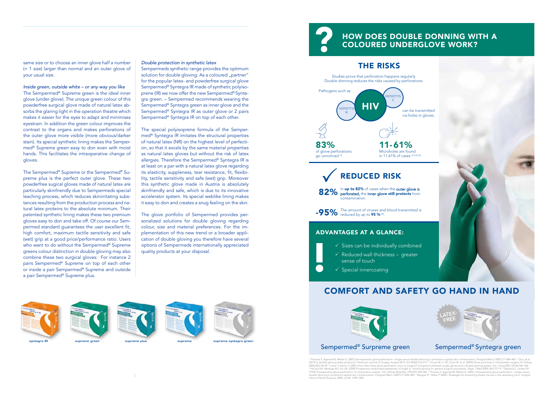same size or to choose an inner glove half a number (= 1 size) larger than normal and an outer glove of your usual size.

#### *Inside green, outside white – or any way you like*

The Sempermed® Supreme green is the ideal inner glove (under glove). The unique green colour of this powderfree surgical glove made of natural latex absorbs the glaring light in the operation theatre which makes it easier for the eyes to adapt and minimises eyestrain. In addition the green colour improves the contrast to the organs and makes perforations of the outer glove more visible (more obvious/darker stain). Its special synthetic lining makes the Sempermed® Supreme green easy to don even with moist hands. This facilitates the intraoperative change of gloves.

The Sempermed® Supreme or the Sempermed® Supreme plus is the perfect outer glove. These two powderfree sugical gloves made of natural latex are particularly skinfriendly due to Sempermeds special leaching process, which reduces skinirritating substances resulting from the production process and natural latex proteins to the absolute minimum. Their patented synthetic lining makes these two premium gloves easy to don and take off. Of course our Sempermed standard guarantees the user excellent fit, high comfort, maximum tactile sensitivity and safe (wet) grip at a good price/performance ratio. Users who want to do without the Sempermed<sup>®</sup> Supreme greens colour distinction in double gloving may also combine these two surgical gloves: For instance 2 pairs Sempermed® Supreme on top of each other or inside a pair Sempermed® Supreme and outside a pair Sempermed® Supreme plus.

#### *Double protection in synthetic latex*

Sempermeds synthetic range provides the optimum solution for double gloving: As a coloured "partner" for the popular latex- and powderfree surgical glove Sempermed® Syntegra IR made of synthetic polyisoprene (IR) we now offer the new Sempermed® Syntegra green. – Sempermed recommends wearing the Sempermed® Syntegra green as inner glove and the Sempermed® Syntegra IR as outer glove or 2 pairs Sempermed® Syntegra IR on top of each other.

The special polyisoprene formula of the Sempermed® Syntegra IR imitates the structural properties of natural latex (NR) on the highest level of perfection, so that it excels by the same material properties as natural latex gloves but without the risk of latex allergies. Therefore the Sempermed® Syntegra IR is at least on a par with a natural latex glove regarding its elasticity, suppleness, tear resistance, fit, flexibility, tactile sensitivity and safe (wet) grip. Moreover this synthetic glove made in Austria is absolutely skinfriendly and safe, which is due to its innovative accelerator system. Its special weblike lining makes it easy to don and creates a snug feeling on the skin.

The glove portfolio of Sempermed provides personalized solutions for double gloving regarding colour, size and material preferences. For the implementation of this new trend or a broader application of double gloving you therefore have several options of Sempermeds internationally appreciated quality products at your disposal.



# COMFORT AND SAFETY GO HAND IN HAND



" Thomas S, Agarwal M, Mehta G. (2001),Intraoperative glove perforation—single versus double donning in protection against skin contamination, Postgrad Med J (2001);77:458–460. <sup>2</sup> Guo, et.al<br>(2012) Is double-gloving reall 2004;28(1):36-39. ® Laine T, Aarnio P. (2001) How often does glove perforation occur in surgery? Comparison between single gloves and a double-gloving system. Am J Surg 2001;181(6):564- 566.<br>® Na'sya HU, Madziga AG, Eni UE double donning in protection against skin contamination, Postgrad Med J (2001);77:458–460. ® Berguer R , Heller P. (2005 ) Strategies for preventing sharps injuries in the operating room. Surgical<br>Clinic of North America.



## Sempermed<sup>®</sup> Surpreme green Sempermed<sup>®</sup> Syntegra green